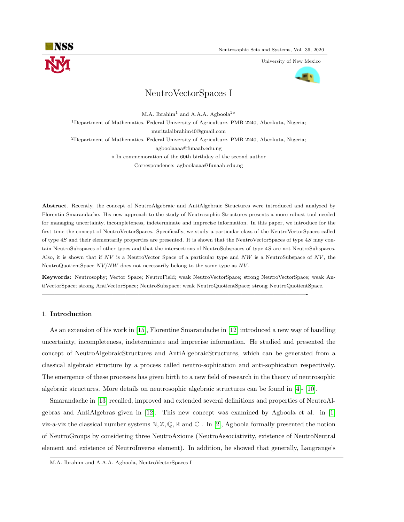

University of New Mexico



# NeutroVectorSpaces I

M.A. Ibrahim<sup>1</sup> and A.A.A. Agboola<sup>2 $\diamond$ </sup>

<sup>1</sup>Department of Mathematics, Federal University of Agriculture, PMB 2240, Abeokuta, Nigeria;

muritalaibrahim40@gmail.com

<sup>2</sup>Department of Mathematics, Federal University of Agriculture, PMB 2240, Abeokuta, Nigeria;

agboolaaaa@funaab.edu.ng

 $\Diamond$  In commemoration of the 60th birthday of the second author

Correspondence: agboolaaaa@funaab.edu.ng

Abstract. Recently, the concept of NeutroAlgebraic and AntiAlgebraic Structures were introduced and analyzed by Florentin Smarandache. His new approach to the study of Neutrosophic Structures presents a more robust tool needed for managing uncertainty, incompleteness, indeterminate and imprecise information. In this paper, we introduce for the first time the concept of NeutroVectorSpaces. Specifically, we study a particular class of the NeutroVectorSpaces called of type 4S and their elementarily properties are presented. It is shown that the NeutroVectorSpaces of type 4S may contain NeutroSubspaces of other types and that the intersections of NeutroSubspaces of type 4S are not NeutroSubspaces. Also, it is shown that if  $NV$  is a NeutroVector Space of a particular type and  $NW$  is a NeutroSubspace of  $NV$ , the NeutroQuotientSpace  $NVMW$  does not necessarily belong to the same type as  $NV$ .

Keywords: Neutrosophy; Vector Space; NeutroField; weak NeutroVectorSpace; strong NeutroVectorSpace; weak AntiVectorSpace; strong AntiVectorSpace; NeutroSubspace; weak NeutroQuotientSpace; strong NeutroQuotientSpace.

—————————————————————————————————————————-

# 1. Introduction

As an extension of his work in [\[15\]](#page-22-0), Florentine Smarandache in [\[12\]](#page-22-1) introduced a new way of handling uncertainty, incompleteness, indeterminate and imprecise information. He studied and presented the concept of NeutroAlgebraicStructures and AntiAlgebraicStructures, which can be generated from a classical algebraic structure by a process called neutro-sophication and anti-sophication respectively. The emergence of these processes has given birth to a new field of research in the theory of neutrosophic algebraic structures. More details on neutrosophic algebraic structures can be found in [\[4\]](#page-22-2)- [\[10\]](#page-22-3).

Smarandache in [\[13\]](#page-22-4) recalled, improved and extended several definitions and properties of NeutroAlgebras and AntiAlgebras given in [\[12\]](#page-22-1). This new concept was examined by Agboola et al. in [\[1\]](#page-22-5) viz-a-viz the classical number systems  $N, \mathbb{Z}, \mathbb{Q}, \mathbb{R}$  and  $\mathbb{C}$ . In [\[2\]](#page-22-6), Agboola formally presented the notion of NeutroGroups by considering three NeutroAxioms (NeutroAssociativity, existence of NeutroNeutral element and existence of NeutroInverse element). In addition, he showed that generally, Langrange's

M.A. Ibrahim and A.A.A. Agboola, NeutroVectorSpaces I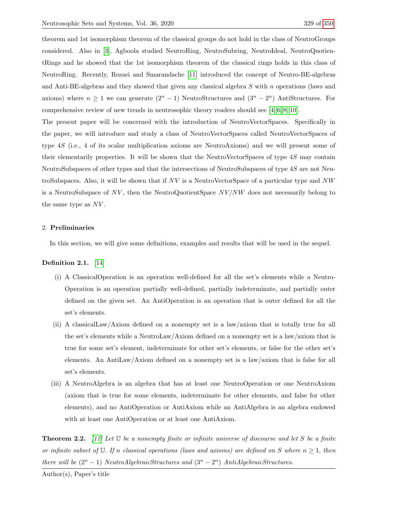theorem and 1st isomorphism theorem of the classical groups do not hold in the class of NeutroGroups considered. Also in [\[3\]](#page-22-8), Agboola studied NeutroRing, NeutroSubring, NeutroIdeal, NeutroQuotientRings and he showed that the 1st isomorphism theorem of the classical rings holds in this class of NeutroRing. Recently, Rezaei and Smarandache [\[11\]](#page-22-9) introduced the concept of Neutro-BE-algebras and Anti-BE-algebras and they showed that given any classical algebra S with n operations (laws and axioms) where  $n \geq 1$  we can generate  $(2^{n} - 1)$  NeutroStructures and  $(3^{n} - 2^{n})$  AntiStructures. For comprehensive review of new trends in neutrosophic theory readers should see [\[4–](#page-22-2)[6,](#page-22-10) [8–](#page-22-11)[10\]](#page-22-3).

The present paper will be concerned with the introduction of NeutroVectorSpaces. Specifically in the paper, we will introduce and study a class of NeutroVectorSpaces called NeutroVectorSpaces of type 4S (i.e., 4 of its scalar multiplication axioms are NeutroAxioms) and we will present some of their elementarily properties. It will be shown that the NeutroVectorSpaces of type 4S may contain NeutroSubspaces of other types and that the intersections of NeutroSubspaces of type 4S are not NeutroSubspaces. Also, it will be shown that if  $NV$  is a NeutroVectorSpace of a particular type and  $NW$ is a NeutroSubspace of  $NV$ , then the NeutroQuotientSpace  $NV/NW$  does not necessarily belong to the same type as NV .

## 2. Preliminaries

In this section, we will give some definitions, examples and results that will be used in the sequel.

#### Definition 2.1. [\[14\]](#page-22-12)

- (i) A ClassicalOperation is an operation well-defined for all the set's elements while a Neutro-Operation is an operation partially well-defined, partially indeterminate, and partially outer defined on the given set. An AntiOperation is an operation that is outer defined for all the set's elements.
- (ii) A classicalLaw/Axiom defined on a nonempty set is a law/axiom that is totally true for all the set's elements while a NeutroLaw/Axiom defined on a nonempty set is a law/axiom that is true for some set's element, indeterminate for other set's elements, or false for the other set's elements. An AntiLaw/Axiom defined on a nonempty set is a law/axiom that is false for all set's elements.
- (iii) A NeutroAlgebra is an algebra that has at least one NeutroOperation or one NeutroAxiom (axiom that is true for some elements, indeterminate for other elements, and false for other elements), and no AntiOperation or AntiAxiom while an AntiAlgebra is an algebra endowed with at least one AntiOperation or at least one AntiAxiom.

<span id="page-1-0"></span>**Theorem 2.2.** [\[11\]](#page-22-9) Let  $\mathbb U$  be a nonempty finite or infinite universe of discourse and let S be a finite or infinite subset of U. If n classical operations (laws and axioms) are defined on S where  $n \geq 1$ , then there will be  $(2^n - 1)$  NeutroAlgebraicStructures and  $(3^n - 2^n)$  AntiAlgebraicStructures.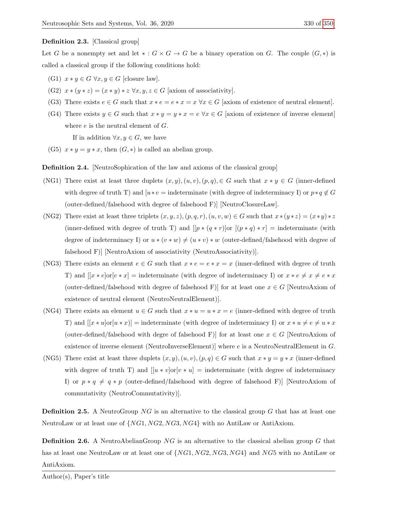#### Definition 2.3. [Classical group]

Let G be a nonempty set and let  $* : G \times G \to G$  be a binary operation on G. The couple  $(G, *)$  is called a classical group if the following conditions hold:

- (G1)  $x * y \in G \ \forall x, y \in G$  [closure law].
- (G2)  $x * (y * z) = (x * y) * z \forall x, y, z \in G$  [axiom of associativity].
- (G3) There exists  $e \in G$  such that  $x * e = e * x = x \forall x \in G$  [axiom of existence of neutral element].
- (G4) There exists  $y \in G$  such that  $x * y = y * x = e \ \forall x \in G$  [axiom of existence of inverse element] where  $e$  is the neutral element of  $G$ .

If in addition  $\forall x, y \in G$ , we have

(G5)  $x * y = y * x$ , then  $(G, *)$  is called an abelian group.

Definition 2.4. [NeutroSophication of the law and axioms of the classical group]

- (NG1) There exist at least three duplets  $(x, y), (u, v), (p, q), \in G$  such that  $x * y \in G$  (inner-defined with degree of truth T) and  $[u*v]$  = indeterminate (with degree of indeterminacy I) or  $p*q \notin G$ (outer-defined/falsehood with degree of falsehood F)] [NeutroClosureLaw].
- (NG2) There exist at least three triplets  $(x, y, z)$ ,  $(p, q, r)$ ,  $(u, v, w) \in G$  such that  $x*(y*z) = (x*y)*z$ (inner-defined with degree of truth T) and  $[[p * (q * r)]or [(p * q) * r] = indeterminate$  (with degree of indeterminacy I) or  $u * (v * w) \neq (u * v) * w$  (outer-defined/falsehood with degree of falsehood F)] [NeutroAxiom of associativity (NeutroAssociativity)].
- (NG3) There exists an element  $e \in G$  such that  $x * e = e * x = x$  (inner-defined with degree of truth T) and  $[[x * e] \text{or} [e * x] = \text{indeterminate}$  (with degree of indeterminacy I) or  $x * e \neq x \neq e * x$ (outer-defined/falsehood with degree of falsehood F)] for at least one  $x \in G$  [NeutroAxiom of existence of neutral element (NeutroNeutralElement)].
- (NG4) There exists an element  $u \in G$  such that  $x * u = u * x = e$  (inner-defined with degree of truth T) and  $[[x * u] \text{or} [u * x]] = \text{indeterminate}$  (with degree of indeterminacy I) or  $x * u \neq e \neq u * x$ (outer-defined/falsehood with degre of falsehood F)] for at least one  $x \in G$  [NeutroAxiom of existence of inverse element (NeutroInverseElement)] where e is a NeutroNeutralElement in G.
- (NG5) There exist at least three duplets  $(x, y), (u, v), (p, q) \in G$  such that  $x * y = y * x$  (inner-defined with degree of truth T) and  $[[u * v] \text{or} [v * u] = \text{indeterminate}$  (with degree of indeterminacy I) or  $p * q \neq q * p$  (outer-defined/falsehood with degree of falsehood F)] [NeutroAxiom of commutativity (NeutroCommutativity)].

**Definition 2.5.** A NeutroGroup  $NG$  is an alternative to the classical group G that has at least one NeutroLaw or at least one of  $\{NG1, NG2, NG3, NG4\}$  with no AntiLaw or AntiAxiom.

**Definition 2.6.** A NeutroAbelianGroup  $NG$  is an alternative to the classical abelian group G that has at least one NeutroLaw or at least one of  $\{NG1, NG2, NG3, NG4\}$  and  $NG5$  with no AntiLaw or AntiAxiom.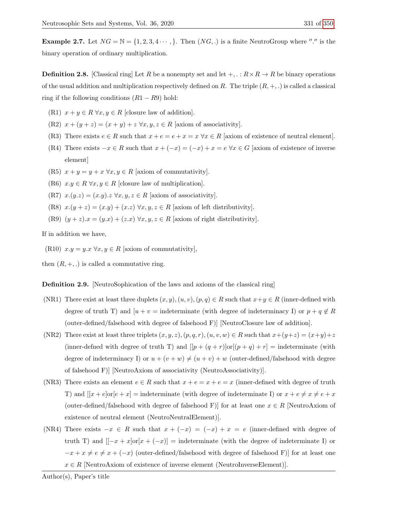**Example 2.7.** Let  $NG = N = \{1, 2, 3, 4 \cdots \}$ . Then  $(NG, .)$  is a finite NeutroGroup where "." is the binary operation of ordinary multiplication.

**Definition 2.8.** [Classical ring] Let R be a nonempty set and let  $+$ , . :  $R \times R \rightarrow R$  be binary operations of the usual addition and multiplication respectively defined on R. The triple  $(R, +, .)$  is called a classical ring if the following conditions  $(R1 - R9)$  hold:

- (R1)  $x + y \in R \ \forall x, y \in R$  [closure law of addition].
- (R2)  $x + (y + z) = (x + y) + z \,\forall x, y, z \in R$  [axiom of associativity].
- (R3) There exists  $e \in R$  such that  $x + e = e + x = x \,\forall x \in R$  [axiom of existence of neutral element].
- (R4) There exists  $-x \in R$  such that  $x + (-x) = (-x) + x = e \,\forall x \in G$  [axiom of existence of inverse element]
- (R5)  $x + y = y + x \,\forall x, y \in R$  [axiom of commutativity].
- (R6)  $x.y \in R \,\forall x, y \in R$  [closure law of multiplication].
- (R7)  $x.(y.z) = (x.y).z \,\forall x, y, z \in R$  [axiom of associativity].
- (R8)  $x.(y + z) = (x.y) + (x.z) \,\forall x, y, z \in R$  [axiom of left distributivity].
- (R9)  $(y + z)x = (y \cdot x) + (z \cdot x) \forall x, y, z \in R$  [axiom of right distributivity].

If in addition we have,

(R10)  $x.y = y.x \,\forall x, y \in R$  [axiom of commutativity],

then  $(R, +, .)$  is called a commutative ring.

**Definition 2.9.** NeutroSophication of the laws and axioms of the classical ring

- (NR1) There exist at least three duplets  $(x, y), (u, v), (p, q) \in R$  such that  $x+y \in R$  (inner-defined with degree of truth T) and  $[u + v =$  indeterminate (with degree of indeterminacy I) or  $p + q \notin R$ (outer-defined/falsehood with degree of falsehood F)] [NeutroClosure law of addition].
- (NR2) There exist at least three triplets  $(x, y, z), (p, q, r), (u, v, w) \in R$  such that  $x+(y+z) = (x+y)+z$ (inner-defined with degree of truth T) and  $[[p + (q + r)]\text{or}[(p + q) + r] =$  indeterminate (with degree of indeterminacy I) or  $u + (v + w) \neq (u + v) + w$  (outer-defined/falsehood with degree of falsehood F)] [NeutroAxiom of associativity (NeutroAssociativity)].
- (NR3) There exists an element  $e \in R$  such that  $x + e = x + e = x$  (inner-defined with degree of truth T) and  $[[x+e]\text{or}[e+x] = \text{indeterminate}$  (with degree of indeterminate I) or  $x + e \neq x \neq e + x$ (outer-defined/falsehood with degree of falsehood F)] for at least one  $x \in R$  [NeutroAxiom of existence of neutral element (NeutroNeutralElement)].
- (NR4) There exists  $-x \in R$  such that  $x + (-x) = (-x) + x = e$  (inner-defined with degree of truth T) and  $[[-x + x]$ or $[x + (-x)]$  = indeterminate (with the degree of indeterminate I) or  $-x+x \neq e \neq x + (-x)$  (outer-defined/falsehood with degree of falsehood F)] for at least one  $x \in R$  [NeutroAxiom of existence of inverse element (NeutroInverseElement)].

Author(s), Paper's title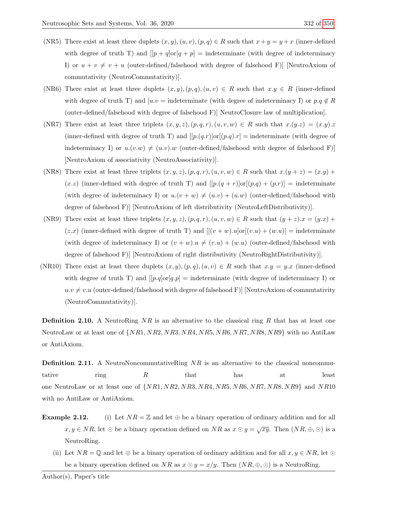- (NR5) There exist at least three duplets  $(x, y), (u, v), (p, q) \in R$  such that  $x + y = y + x$  (inner-defined with degree of truth T) and  $[|p+q]\text{or}|q+p] = \text{indeterminate}$  (with degree of indeterminacy I) or  $u + v \neq v + u$  (outer-defined/falsehood with degree of falsehood F)] [NeutroAxiom of commutativity (NeutroCommutativity)].
- (NR6) There exist at least three duplets  $(x, y), (p, q), (u, v) \in R$  such that  $x, y \in R$  (inner-defined with degree of truth T) and  $[u.v = \text{indeterminate}$  (with degree of indeterminacy I) or  $p.q \notin R$ (outer-defined/falsehood with degree of falsehood F)] NeutroClosure law of multiplication].
- (NR7) There exist at least three triplets  $(x, y, z), (p, q, r), (u, v, w) \in R$  such that  $x.(y.z) = (x.y).z$ (inner-defined with degree of truth T) and  $[[p(q,r)]\text{or}[(p,q).r] =$  indeterminate (with degree of indeterminacy I) or  $u.(v.w) \neq (u.v).w$  (outer-defined/falsehood with degree of falsehood F)] [NeutroAxiom of associativity (NeutroAssociativity)].
- (NR8) There exist at least three triplets  $(x, y, z), (p, q, r), (u, v, w) \in R$  such that  $x.(y + z) = (x. y) + (y. z)$  $(x.z)$  (inner-defined with degree of truth T) and  $[[p.(q + r)]or[(p.q) + (p.r)] =$  indeterminate (with degree of indeterminacy I) or  $u.(v + w) \neq (u.v) + (u.w)$  (outer-defined/falsehood with degree of falsehood F)] [NeutroAxiom of left distributivity (NeutroLeftDistributivity)].
- (NR9) There exist at least three triplets  $(x, y, z), (p, q, r), (u, v, w) \in R$  such that  $(y + z)x = (y.x) +$  $(z.x)$  (inner-defined with degree of truth T) and  $[[(v+w).u]\text{or}[(v.u)+(w.u)] = \text{indeterminate}$ (with degree of indeterminacy I) or  $(v + w) \cdot u \neq (v \cdot u) + (w \cdot u)$  (outer-defined/falsehood with degree of falsehood F)] [NeutroAxiom of right distributivity (NeutroRightDistributivity)].
- (NR10) There exist at least three duplets  $(x, y), (p, q), (u, v) \in R$  such that  $x \cdot y = y \cdot x$  (inner-defined with degree of truth T) and  $[[p.q]\text{or}[q.p] = \text{indeterminate}$  (with degree of indeterminacy I) or  $u.v \neq v.u$  (outer-defined/falsehood with degree of falsehood F)] [NeutroAxiom of commutativity (NeutroCommutativity)].

**Definition 2.10.** A NeutroRing  $NR$  is an alternative to the classical ring R that has at least one NeutroLaw or at least one of  $\{NR1, NR2, NR3, NR4, NR5, NR6, NR7, NR8, NR9\}$  with no AntiLaw or AntiAxiom.

**Definition 2.11.** A NeutroNoncommutativeRing  $NR$  is an alternative to the classical noncommutative ring  $R$  that has at least one NeutroLaw or at least one of  $\{NR1, NR2, NR3, NR4, NR5, NR6, NR7, NR8, NR9\}$  and  $NR10$ with no AntiLaw or AntiAxiom.

- **Example 2.12.** (i) Let  $NR = \mathbb{Z}$  and let  $\oplus$  be a binary operation of ordinary addition and for all  $x, y \in NR$ , let  $\odot$  be a binary operation defined on  $NR$  as  $x \odot y = \sqrt{xy}$ . Then  $(NR, \oplus, \odot)$  is a NeutroRing.
	- (ii) Let  $NR = \mathbb{Q}$  and let  $\oplus$  be a binary operation of ordinary addition and for all  $x, y \in NR$ , let  $\odot$ be a binary operation defined on NR as  $x \odot y = x/y$ . Then  $(NR, \oplus, \odot)$  is a NeutroRing.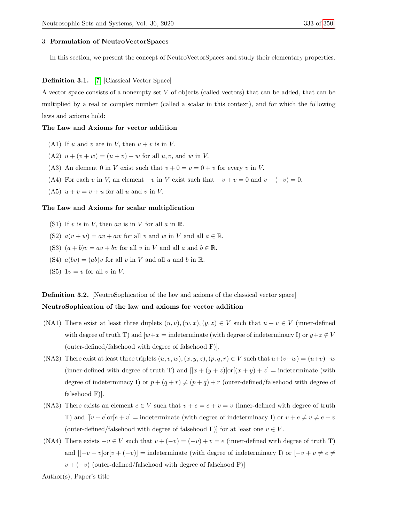#### 3. Formulation of NeutroVectorSpaces

In this section, we present the concept of NeutroVectorSpaces and study their elementary properties.

## Definition 3.1. [\[7\]](#page-22-13) [Classical Vector Space]

A vector space consists of a nonempty set V of objects (called vectors) that can be added, that can be multiplied by a real or complex number (called a scalar in this context), and for which the following laws and axioms hold:

#### The Law and Axioms for vector addition

- (A1) If u and v are in V, then  $u + v$  is in V.
- (A2)  $u + (v + w) = (u + v) + w$  for all  $u, v$ , and w in V.
- (A3) An element 0 in V exist such that  $v + 0 = v = 0 + v$  for every v in V.
- (A4) For each v in V, an element  $-v$  in V exist such that  $-v+v=0$  and  $v+(-v)=0$ .
- (A5)  $u + v = v + u$  for all u and v in V.

#### The Law and Axioms for scalar multiplication

- (S1) If v is in V, then av is in V for all  $a$  in  $\mathbb{R}$ .
- (S2)  $a(v + w) = av + aw$  for all v and w in V and all  $a \in \mathbb{R}$ .
- (S3)  $(a + b)v = av + bv$  for all v in V and all a and  $b \in \mathbb{R}$ .
- (S4)  $a(bv) = (ab)v$  for all v in V and all a and b in R.
- (S5)  $1v = v$  for all v in V.

**Definition 3.2.** [NeutroSophication of the law and axioms of the classical vector space]

# NeutroSophication of the law and axioms for vector addition

- (NA1) There exist at least three duplets  $(u, v), (w, x), (y, z) \in V$  such that  $u + v \in V$  (inner-defined with degree of truth T) and  $[w+x]$  indeterminate (with degree of indeterminacy I) or  $y+z \notin V$ (outer-defined/falsehood with degree of falsehood F)].
- (NA2) There exist at least three triplets  $(u, v, w), (x, y, z), (p, q, r) \in V$  such that  $u+(v+w) = (u+v)+w$ (inner-defined with degree of truth T) and  $[[x + (y + z)]\text{or}[(x + y) + z] =$  indeterminate (with degree of indeterminacy I) or  $p + (q + r) \neq (p + q) + r$  (outer-defined/falsehood with degree of falsehood F)].
- (NA3) There exists an element  $e \in V$  such that  $v + e = e + v = v$  (inner-defined with degree of truth T) and  $[[v + e] \text{or} [e + v] = \text{indeterminate}$  (with degree of indeterminacy I) or  $v + e \neq v \neq e + v$ (outer-defined/falsehood with degree of falsehood F)] for at least one  $v \in V$ .
- (NA4) There exists  $-v \in V$  such that  $v + (-v) = (-v) + v = e$  (inner-defined with degree of truth T) and  $([-v+v]\text{or}[v+(-v)]$  = indeterminate (with degree of indeterminacy I) or  $[-v+v] \neq e \neq 0$  $v + (-v)$  (outer-defined/falsehood with degree of falsehood F)]

Author(s), Paper's title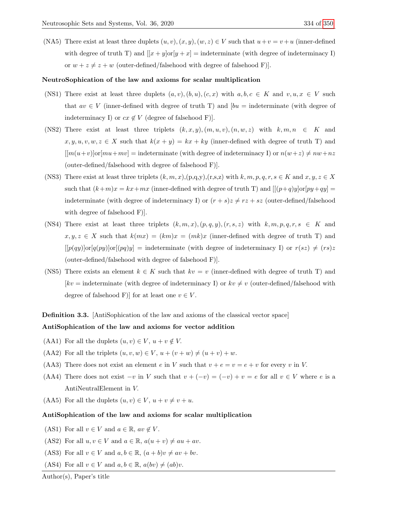(NA5) There exist at least three duplets  $(u, v), (x, y), (w, z) \in V$  such that  $u + v = v + u$  (inner-defined with degree of truth T) and  $[[x + y] \text{or} [y + x] = \text{indeterminate}$  (with degree of indeterminacy I) or  $w + z \neq z + w$  (outer-defined/falsehood with degree of falsehood F)].

# NeutroSophication of the law and axioms for scalar multiplication

- (NS1) There exist at least three duplets  $(a, v), (b, u), (c, x)$  with  $a, b, c \in K$  and  $v, u, x \in V$  such that  $av \in V$  (inner-defined with degree of truth T) and  $[bu =$  indeterminate (with degree of indeterminacy I) or  $cx \notin V$  (degree of falsehood F).
- (NS2) There exist at least three triplets  $(k, x, y), (m, u, v), (n, w, z)$  with  $k, m, n \in K$  and  $x, y, u, v, w, z \in X$  such that  $k(x + y) = kx + ky$  (inner-defined with degree of truth T) and  $[[m(u+v)]\text{or}[mu+mv] = \text{indeterminate (with degree of indeterminacy I) or } n(w+z) \neq nw+nz$ (outer-defined/falsehood with degree of falsehood F)].
- (NS3) There exist at least three triplets  $(k, m, x)$ ,  $(p, q, y)$ ,  $(r, s, z)$  with  $k, m, p, q, r, s \in K$  and  $x, y, z \in X$ such that  $(k+m)x = kx+mx$  (inner-defined with degree of truth T) and  $[(p+q)y]\text{or}[py+qy] =$ indeterminate (with degree of indeterminacy I) or  $(r + s)z \neq rz + sz$  (outer-defined/falsehood with degree of falsehood F)].
- (NS4) There exist at least three triplets  $(k, m, x), (p, q, y), (r, s, z)$  with  $k, m, p, q, r, s \in K$  and  $x, y, z \in X$  such that  $k(mx) = (km)x = (mk)x$  (inner-defined with degree of truth T) and  $[ [p(qy)]\text{or} [q(py)]\text{or} [p(q)y] = \text{indeterminate (with degree of indeterminacy I) or } r(sz) \neq (rs)z$ (outer-defined/falsehood with degree of falsehood F)].
- (NS5) There exists an element  $k \in K$  such that  $kv = v$  (inner-defined with degree of truth T) and  $kv =$  indeterminate (with degree of indeterminacy I) or  $kv \neq v$  (outer-defined/falsehood with degree of falsehood F)] for at least one  $v \in V$ .

Definition 3.3. [AntiSophication of the law and axioms of the classical vector space]

# AntiSophication of the law and axioms for vector addition

- (AA1) For all the duplets  $(u, v) \in V$ ,  $u + v \notin V$ .
- (AA2) For all the triplets  $(u, v, w) \in V$ ,  $u + (v + w) \neq (u + v) + w$ .
- (AA3) There does not exist an element e in V such that  $v + e = v = e + v$  for every v in V.
- (AA4) There does not exist  $-v$  in V such that  $v + (-v) = (-v) + v = e$  for all  $v \in V$  where e is a AntiNeutralElement in V.
- (AA5) For all the duplets  $(u, v) \in V$ ,  $u + v \neq v + u$ .

#### AntiSophication of the law and axioms for scalar multiplication

- (AS1) For all  $v \in V$  and  $a \in \mathbb{R}$ ,  $av \notin V$ .
- (AS2) For all  $u, v \in V$  and  $a \in \mathbb{R}$ ,  $a(u + v) \neq au + av$ .
- (AS3) For all  $v \in V$  and  $a, b \in \mathbb{R}$ ,  $(a + b)v \ne av + bv$ .
- (AS4) For all  $v \in V$  and  $a, b \in \mathbb{R}$ ,  $a(bv) \neq (ab)v$ .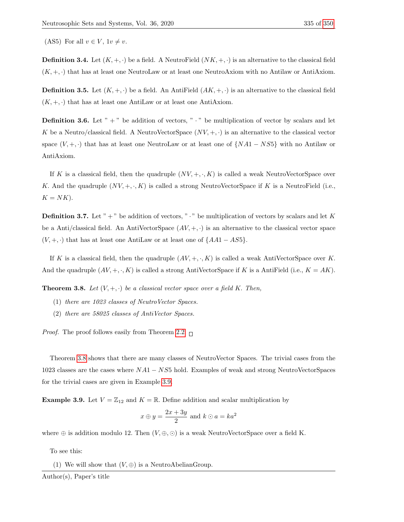(AS5) For all  $v \in V$ ,  $1v \neq v$ .

**Definition 3.4.** Let  $(K, +, \cdot)$  be a field. A NeutroField  $(NK, +, \cdot)$  is an alternative to the classical field  $(K, +, \cdot)$  that has at least one NeutroLaw or at least one NeutroAxiom with no Antilaw or AntiAxiom.

**Definition 3.5.** Let  $(K, +, \cdot)$  be a field. An AntiField  $(AK, +, \cdot)$  is an alternative to the classical field  $(K, +, \cdot)$  that has at least one AntiLaw or at least one AntiAxiom.

**Definition 3.6.** Let " $+$ " be addition of vectors, " $\cdot$ " be multiplication of vector by scalars and let K be a Neutro/classical field. A NeutroVectorSpace  $(NV, +, \cdot)$  is an alternative to the classical vector space  $(V, +, \cdot)$  that has at least one NeutroLaw or at least one of  $\{NA1 - NS5\}$  with no Antilaw or AntiAxiom.

If K is a classical field, then the quadruple  $(NV, +, \cdot, K)$  is called a weak NeutroVectorSpace over K. And the quadruple  $(NV, +, \cdot, K)$  is called a strong NeutroVectorSpace if K is a NeutroField (i.e.,  $K = NK$ ).

**Definition 3.7.** Let " $+$ " be addition of vectors, " $\cdot$ " be multiplication of vectors by scalars and let K be a Anti/classical field. An AntiVectorSpace  $(AV, +, \cdot)$  is an alternative to the classical vector space  $(V, +, \cdot)$  that has at least one AntiLaw or at least one of  $\{AA1 - AS5\}.$ 

If K is a classical field, then the quadruple  $(AV, +, \cdot, K)$  is called a weak AntiVectorSpace over K. And the quadruple  $(AV, +, \cdot, K)$  is called a strong AntiVectorSpace if K is a AntiField (i.e.,  $K = AK$ ).

<span id="page-7-0"></span>**Theorem 3.8.** Let  $(V, +, \cdot)$  be a classical vector space over a field K. Then,

- (1) there are 1023 classes of NeutroVector Spaces.
- (2) there are 58025 classes of AntiVector Spaces.

*Proof.* The proof follows easily from Theorem [2.2.](#page-1-0)  $\Box$ 

Theorem [3.8](#page-7-0) shows that there are many classes of NeutroVector Spaces. The trivial cases from the 1023 classes are the cases where NA1 − NS5 hold. Examples of weak and strong NeutroVectorSpaces for the trivial cases are given in Example [3.9.](#page-7-1)

<span id="page-7-1"></span>**Example 3.9.** Let  $V = \mathbb{Z}_{12}$  and  $K = \mathbb{R}$ . Define addition and scalar multiplication by

$$
x \oplus y = \frac{2x + 3y}{2}
$$
 and  $k \odot a = ka^2$ 

where  $\oplus$  is addition modulo 12. Then  $(V, \oplus, \odot)$  is a weak NeutroVectorSpace over a field K.

To see this:

(1) We will show that  $(V, \oplus)$  is a NeutroAbelianGroup.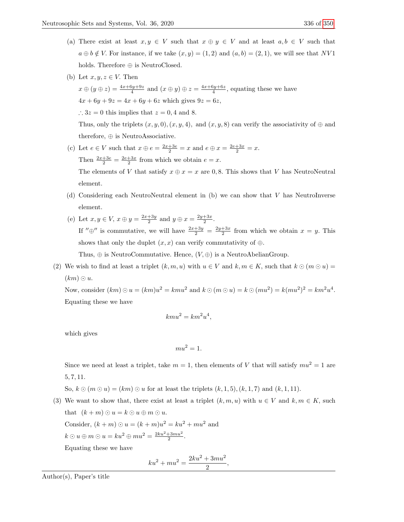- (a) There exist at least  $x, y \in V$  such that  $x \oplus y \in V$  and at least  $a, b \in V$  such that  $a \oplus b \notin V$ . For instance, if we take  $(x, y) = (1, 2)$  and  $(a, b) = (2, 1)$ , we will see that NV1 holds. Therefore  $\oplus$  is NeutroClosed.
- (b) Let  $x, y, z \in V$ . Then

 $x \oplus (y \oplus z) = \frac{4x + 6y + 9z}{4}$  and  $(x \oplus y) \oplus z = \frac{4x + 6y + 6z}{4}$ , equating these we have  $4x + 6y + 9z = 4x + 6y + 6z$  which gives  $9z = 6z$ , ∴  $3z = 0$  this implies that  $z = 0, 4$  and 8. Thus, only the triplets  $(x, y, 0), (x, y, 4)$ , and  $(x, y, 8)$  can verify the associativity of  $\oplus$  and therefore, ⊕ is NeutroAssociative.

- (c) Let  $e \in V$  such that  $x \oplus e = \frac{2x + 3e}{2} = x$  and  $e \oplus x = \frac{2e + 3x}{2} = x$ . Then  $\frac{2x+3e}{2} = \frac{2e+3x}{2}$  from which we obtain  $e = x$ . The elements of V that satisfy  $x \oplus x = x$  are 0,8. This shows that V has NeutroNeutral element.
- (d) Considering each NeutroNeutral element in (b) we can show that V has NeutroInverse element.
- (e) Let  $x, y \in V$ ,  $x \oplus y = \frac{2x+3y}{2}$  and  $y \oplus x = \frac{2y+3x}{2}$ . If " $\oplus$ " is commutative, we will have  $\frac{2x+3y}{2} = \frac{2y+3x}{2}$  from which we obtain  $x = y$ . This shows that only the duplet  $(x, x)$  can verify commutativity of  $\oplus$ . Thus,  $\oplus$  is NeutroCommutative. Hence,  $(V, \oplus)$  is a NeutroAbelianGroup.
- (2) We wish to find at least a triplet  $(k, m, u)$  with  $u \in V$  and  $k, m \in K$ , such that  $k \odot (m \odot u)$  $(km) \odot u.$

Now, consider  $(km) \odot u = (km)u^2 = kmu^2$  and  $k \odot (m \odot u) = k \odot (mu^2) = k(mu^2)^2 = km^2u^4$ . Equating these we have

$$
kmu^2 = km^2u^4,
$$

which gives

$$
mu^2 = 1.
$$

Since we need at least a triplet, take  $m = 1$ , then elements of V that will satisfy  $mu^2 = 1$  are 5, 7, 11.

So,  $k \odot (m \odot u) = (km) \odot u$  for at least the triplets  $(k, 1, 5)$ ,  $(k, 1, 7)$  and  $(k, 1, 11)$ .

(3) We want to show that, there exist at least a triplet  $(k, m, u)$  with  $u \in V$  and  $k, m \in K$ , such that  $(k+m) \odot u = k \odot u \oplus m \odot u$ . Consider,  $(k + m)$   $\odot u = (k + m)u^2 = ku^2 + mu^2$  and  $k \odot u \oplus m \odot u = ku^2 \oplus mu^2 = \frac{2ku^2 + 3mu^2}{2}.$ Equating these we have

> $ku^2 + mu^2 = \frac{2ku^2 + 3mu^2}{2}$  $\frac{1}{2}$ ,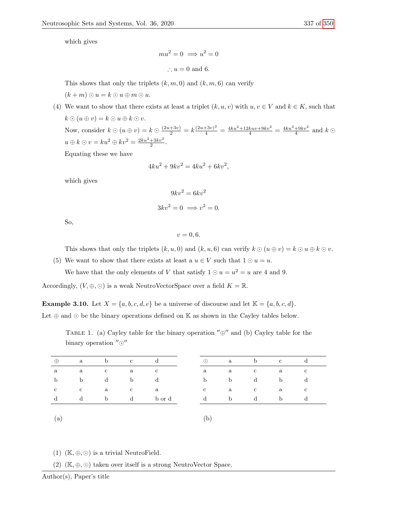which gives

 $mu^2 = 0 \implies u^2 = 0$ ∴  $u = 0$  and 6.

This shows that only the triplets  $(k, m, 0)$  and  $(k, m, 6)$  can verify  $(k+m) \odot u = k \odot u \oplus m \odot u.$ 

(4) We want to show that there exists at least a triplet  $(k, u, v)$  with  $u, v \in V$  and  $k \in K$ , such that  $k \odot (u \oplus v) = k \odot u \oplus k \odot v.$ Now, consider  $k \odot (u \oplus v) = k \odot \frac{(2u+3v)}{2} = k \frac{(2u+3v)^2}{4} = \frac{4ku^2+12kuv+9kv^2}{4} = \frac{4ku^2+9kv^2}{4}$  and  $k \odot$  $u \oplus k \odot v = ku^{2} \oplus kv^{2} = \frac{2ku^{2} + 3kv^{2}}{2}.$ 

Equating these we have

$$
4ku^2 + 9kv^2 = 4ku^2 + 6kv^2,
$$

which gives

$$
9kv^2 = 6kv^2
$$

$$
3kv^2 = 0 \implies v^2 = 0.
$$

So,

 $v = 0, 6.$ 

This shows that only the triplets  $(k, u, 0)$  and  $(k, u, 6)$  can verify  $k \odot (u \oplus v) = k \odot u \oplus k \odot v$ .

(5) We want to show that there exists at least a  $u \in V$  such that  $1 \odot u = u$ . We have that the only elements of V that satisfy  $1 \odot u = u^2 = u$  are 4 and 9.

Accordingly,  $(V, \oplus, \odot)$  is a weak NeutroVectorSpace over a field  $K = \mathbb{R}$ .

<span id="page-9-0"></span>**Example 3.10.** Let  $X = \{a, b, c, d, e\}$  be a universe of discourse and let  $\mathbb{K} = \{a, b, c, d\}$ .

<span id="page-9-1"></span>Let  $\oplus$  and  $\odot$  be the binary operations defined on K as shown in the Cayley tables below.

TABLE 1. (a) Cayley table for the binary operation  $\theta'' \oplus$  and (b) Cayley table for the binary operation  $^{\prime\prime}$   $\odot$ <sup> $\prime\prime$ </sup>

| $\oplus$    | a           | b            | $\mathbf{c}$ | d            | $\odot$      | a            | b            | $\mathbf{c}$ | đ            |
|-------------|-------------|--------------|--------------|--------------|--------------|--------------|--------------|--------------|--------------|
| a           | a           | $\mathbf{c}$ | $\mathbf{a}$ | $\mathbf{c}$ | a            | a            | $\mathbf{c}$ | a            | $\mathbf{c}$ |
| $\mathbf b$ | $\mathbf b$ | d            | $\mathbf b$  | d            | b            | <sub>b</sub> | d            | $\mathbf b$  | d            |
| $\mathbf c$ | $\mathbf c$ | a            | $\mathbf{c}$ | a            | $\mathbf{c}$ | a            | $\mathbf{c}$ | a            | $\mathbf{c}$ |
| d           | d           | $\mathbf b$  | $\mathbf d$  | b or d       | d            | b            | d            | $\mathbf b$  | d            |
|             |             |              |              |              |              |              |              |              |              |
| (a)         |             |              |              |              | b            |              |              |              |              |

(1)  $(\mathbb{K}, \oplus, \odot)$  is a trivial NeutroField.

(2)  $(\mathbb{K}, \oplus, \odot)$  taken over itself is a strong NeutroVector Space.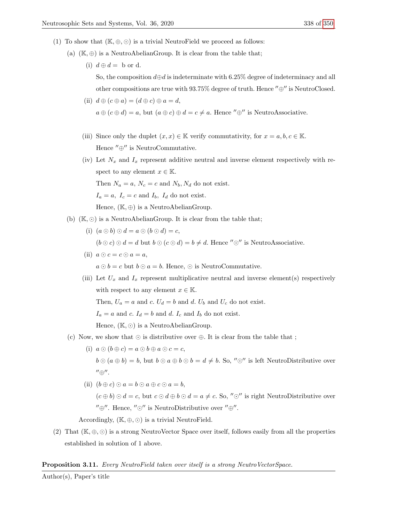- (1) To show that  $(\mathbb{K}, \oplus, \odot)$  is a trivial NeutroField we proceed as follows:
	- (a)  $(\mathbb{K}, \oplus)$  is a NeutroAbelianGroup. It is clear from the table that;
		- (i)  $d \oplus d = b$  or d.

So, the composition  $d\oplus d$  is indeterminate with 6.25% degree of indeterminacy and all other compositions are true with 93.75% degree of truth. Hence " $\oplus$ " is NeutroClosed.

- (ii)  $d \oplus (c \oplus a) = (d \oplus c) \oplus a = d$ ,  $a \oplus (c \oplus d) = a$ , but  $(a \oplus c) \oplus d = c \neq a$ . Hence " $\oplus$ " is NeutroAssociative.
- (iii) Since only the duplet  $(x, x) \in \mathbb{K}$  verify commutativity, for  $x = a, b, c \in \mathbb{K}$ . Hence  $^{\prime\prime}\oplus^{\prime\prime}$  is NeutroCommutative.
- (iv) Let  $N_x$  and  $I_x$  represent additive neutral and inverse element respectively with respect to any element  $x \in \mathbb{K}$ .

Then  $N_a = a$ ,  $N_c = c$  and  $N_b$ ,  $N_d$  do not exist.

 $I_a = a, I_c = c$  and  $I_b, I_d$  do not exist.

Hence,  $(\mathbb{K}, \oplus)$  is a NeutroAbelianGroup.

- (b)  $(K, \odot)$  is a NeutroAbelianGroup. It is clear from the table that;
	- (i)  $(a \odot b) \odot d = a \odot (b \odot d) = c$ ,  $(b \odot c) \odot d = d$  but  $b \odot (c \odot d) = b \neq d$ . Hence " $\odot$ " is NeutroAssociative.
	- (ii)  $a \odot c = c \odot a = a$ ,  $a \odot b = c$  but  $b \odot a = b$ . Hence,  $\odot$  is NeutroCommutative.
	- (iii) Let  $U_x$  and  $I_x$  represent multiplicative neutral and inverse element(s) respectively with respect to any element  $x \in \mathbb{K}$ .

Then,  $U_a = a$  and c.  $U_d = b$  and d.  $U_b$  and  $U_c$  do not exist.

 $I_a = a$  and c.  $I_d = b$  and d.  $I_c$  and  $I_b$  do not exist.

Hence,  $(\mathbb{K}, \odot)$  is a NeutroAbelianGroup.

- (c) Now, we show that  $\odot$  is distributive over  $\oplus$ . It is clear from the table that ;
	- (i)  $a \odot (b \oplus c) = a \odot b \oplus a \odot c = c$ ,  $b \odot (a \oplus b) = b$ , but  $b \odot a \oplus b \odot b = d \neq b$ . So, " $\odot$ " is left NeutroDistributive over  $^{\prime\prime}$ ⊕ $^{\prime\prime}$ .
	- (ii)  $(b \oplus c) \odot a = b \odot a \oplus c \odot a = b$ ,  $(c \oplus b) \odot d = c$ , but  $c \odot d \oplus b \odot d = a \neq c$ . So, " $\odot$ " is right NeutroDistributive over  $^{\prime\prime}\oplus^{\prime\prime}$ . Hence,  $^{\prime\prime}\odot^{\prime\prime}$  is NeutroDistributive over  $^{\prime\prime}\oplus^{\prime\prime}$ .

Accordingly,  $(\mathbb{K}, \oplus, \odot)$  is a trivial NeutroField.

(2) That  $(\mathbb{K}, \oplus, \odot)$  is a strong NeutroVector Space over itself, follows easily from all the properties established in solution of 1 above.

# **Proposition 3.11.** Every NeutroField taken over itself is a strong NeutroVectorSpace.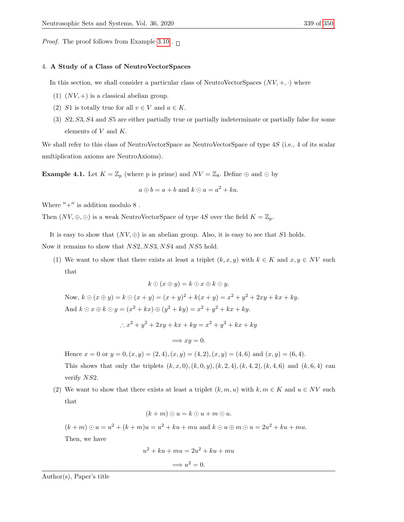*Proof.* The proof follows from Example [3.10](#page-9-0).  $\Box$ 

## 4. A Study of a Class of NeutroVectorSpaces

In this section, we shall consider a particular class of NeutroVectorSpaces  $(NV, +, \cdot)$  where

- (1)  $(NV,+)$  is a classical abelian group.
- (2) S1 is totally true for all  $v \in V$  and  $a \in K$ .
- (3) S2, S3, S4 and S5 are either partially true or partially indeterminate or partially false for some elements of V and K.

We shall refer to this class of NeutroVectorSpace as NeutroVectorSpace of type 4S (i.e., 4 of its scalar multiplication axioms are NeutroAxioms).

<span id="page-11-0"></span>**Example 4.1.** Let  $K = \mathbb{Z}_p$  (where p is prime) and  $NV = \mathbb{Z}_8$ . Define  $\oplus$  and  $\odot$  by

$$
a \oplus b = a + b
$$
 and  $k \odot a = a^2 + ka$ .

Where  $'' +''$  is addition modulo 8.

Then  $(NV, \oplus, \odot)$  is a weak NeutroVectorSpace of type 4S over the field  $K = \mathbb{Z}_p$ .

It is easy to show that  $(NV, \oplus)$  is an abelian group. Also, it is easy to see that S1 holds.

Now it remains to show that  $NS2, NS3, NS4$  and  $NS5$  hold.

(1) We want to show that there exists at least a triplet  $(k, x, y)$  with  $k \in K$  and  $x, y \in NV$  such that

$$
k \odot (x \oplus y) = k \odot x \oplus k \odot y.
$$

Now,  $k \odot (x \oplus y) = k \odot (x + y) = (x + y)^2 + k(x + y) = x^2 + y^2 + 2xy + kx + ky$ . And  $k \odot x \oplus k \odot y = (x^2 + kx) \oplus (y^2 + ky) = x^2 + y^2 + kx + ky.$ 

$$
\therefore x^2 + y^2 + 2xy + kx + ky = x^2 + y^2 + kx + ky
$$

$$
\Longrightarrow xy = 0.
$$

Hence  $x = 0$  or  $y = 0$ ,  $(x, y) = (2, 4)$ ,  $(x, y) = (4, 2)$ ,  $(x, y) = (4, 6)$  and  $(x, y) = (6, 4)$ . This shows that only the triplets  $(k, x, 0), (k, 0, y), (k, 2, 4), (k, 4, 2), (k, 4, 6)$  and  $(k, 6, 4)$  can verify  $NS2$ .

(2) We want to show that there exists at least a triplet  $(k, m, u)$  with  $k, m \in K$  and  $u \in NV$  such that

$$
(k+m)\odot u=k\odot u+m\odot u.
$$

 $(k+m) \odot u = u^2 + (k+m)u = u^2 + ku + mu$  and  $k \odot u \oplus m \odot u = 2u^2 + ku + mu$ .

Then, we have

$$
u2 + ku + mu = 2u2 + ku + mu
$$

$$
\implies u2 = 0.
$$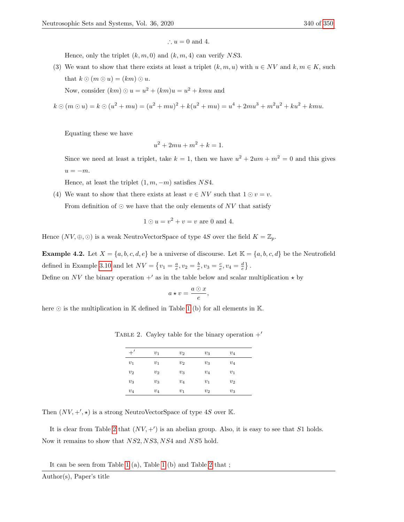$$
\therefore u = 0 \text{ and } 4.
$$

Hence, only the triplet  $(k, m, 0)$  and  $(k, m, 4)$  can verify NS3.

(3) We want to show that there exists at least a triplet  $(k, m, u)$  with  $u \in NV$  and  $k, m \in K$ , such that  $k \odot (m \odot u) = (km) \odot u$ .

Now, consider  $(km)$   $\odot u = u^2 + (km)u = u^2 + kmu$  and

 $k \odot (m \odot u) = k \odot (u^2 + mu) = (u^2 + mu)^2 + k(u^2 + mu) = u^4 + 2mu^3 + m^2u^2 + ku^2 + kmu.$ 

Equating these we have

$$
u^2 + 2mu + m^2 + k = 1.
$$

Since we need at least a triplet, take  $k = 1$ , then we have  $u^2 + 2um + m^2 = 0$  and this gives  $u = -m$ .

Hence, at least the triplet  $(1, m, -m)$  satisfies NS4.

(4) We want to show that there exists at least  $v \in NV$  such that  $1 \odot v = v$ .

From definition of  $\odot$  we have that the only elements of NV that satisfy

$$
1 \odot u = v^2 + v = v
$$
 are 0 and 4.

Hence  $(NV, \oplus, \odot)$  is a weak NeutroVectorSpace of type 4S over the field  $K = \mathbb{Z}_p$ .

<span id="page-12-1"></span>**Example 4.2.** Let  $X = \{a, b, c, d, e\}$  be a universe of discourse. Let  $\mathbb{K} = \{a, b, c, d\}$  be the Neutrofield defined in Example [3.10](#page-9-0) and let  $NV = \left\{v_1 = \frac{a}{e}, v_2 = \frac{b}{e}, v_3 = \frac{c}{e}, v_4 = \frac{d}{e}\right\}.$ 

Define on NV the binary operation  $+^{\prime}$  as in the table below and scalar multiplication  $\star$  by

$$
a\star v=\frac{a\odot x}{e},
$$

<span id="page-12-0"></span>here  $\odot$  is the multiplication in  $\mathbb K$  defined in Table [1](#page-9-1) (b) for all elements in  $\mathbb K$ .

| $+^{\prime}$ | $v_1$ | $v_2$ | $v_3$ | $v_4$ |  |
|--------------|-------|-------|-------|-------|--|
| $v_1$        | $v_1$ | $v_2$ | $v_3$ | $v_4$ |  |
| $v_2$        | $v_2$ | $v_3$ | $v_4$ | $v_1$ |  |
| $v_3$        | $v_3$ | $v_4$ | $v_1$ | $v_2$ |  |
| $v_4$        | $v_4$ | $v_1$ | $v_2$ | $v_3$ |  |

TABLE 2. Cayley table for the binary operation  $+^{\prime}$ 

Then  $(NV, +', \star)$  is a strong NeutroVectorSpace of type 4S over K.

It is clear from Table [2](#page-12-0) that  $(NV, +')$  is an abelian group. Also, it is easy to see that S1 holds. Now it remains to show that NS2, NS3, NS4 and NS5 hold.

It can be seen from Table [1](#page-9-1) (a), Table [1](#page-9-1) (b) and Table [2](#page-12-0) that ;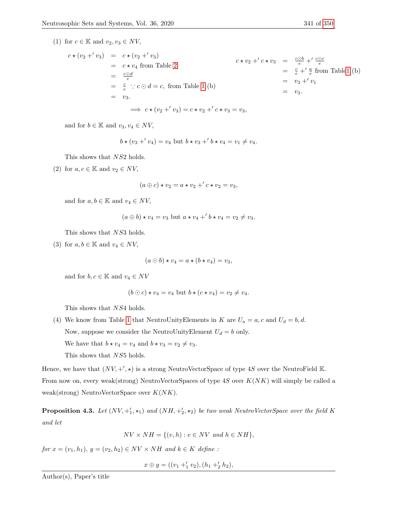(1) for  $c \in \mathbb{K}$  and  $v_2, v_3 \in NV$ ,

$$
c \star (v_2 + v_3) = c \star (v_2 + v_3)
$$
  
\n
$$
= c \star v_4 \text{ from Table 2}
$$
  
\n
$$
= \frac{c \odot d}{e}
$$
  
\n
$$
= \frac{c}{e} \cdots c \odot d = c, \text{ from Table 1 (b)}
$$
  
\n
$$
= v_3.
$$
  
\n
$$
\Rightarrow c \star (v_2 + v_3) = c \star v_2 + c \star v_3 = v_3,
$$
  
\n
$$
\Rightarrow c \star (v_2 + v_3) = c \star v_2 + c \star v_3 = v_3,
$$
  
\n
$$
\Rightarrow c \star (v_2 + v_3) = c \star v_2 + c \star v_3 = v_3,
$$

and for  $b \in \mathbb{K}$  and  $v_3, v_4 \in NV$ ,

 $b \star (v_3 + v_4) = v_4$  but  $b \star v_3 + v_4 = v_1 \neq v_4$ .

This shows that NS2 holds.

(2) for  $a, c \in \mathbb{K}$  and  $v_2 \in NV$ ,

$$
(a \oplus c) \star v_2 = a \star v_2 + c \star v_2 = v_3,
$$

and for  $a, b \in \mathbb{K}$  and  $v_4 \in NV$ ,

$$
(a \oplus b) \star v_4 = v_3
$$
 but 
$$
a \star v_4 + b \star v_4 = v_2 \neq v_3.
$$

This shows that NS3 holds.

(3) for  $a, b \in \mathbb{K}$  and  $v_4 \in NV$ ,

$$
(a \odot b) \star v_4 = a \star (b \star v_4) = v_3,
$$

and for  $b, c \in \mathbb{K}$  and  $v_4 \in NV$ 

$$
(b \odot c) \star v_4 = v_4 \text{ but } b \star (c \star v_4) = v_2 \neq v_4.
$$

This shows that NS4 holds.

(4) We know from Table [1](#page-9-1) that NeutroUnityElements in K are  $U_a = a, c$  and  $U_d = b, d$ . Now, suppose we consider the NeutroUnityElement  $U_d = b$  only. We have that  $b \star v_4 = v_4$  and  $b \star v_3 = v_2 \neq v_3$ . This shows that NS5 holds.

Hence, we have that  $(NV, +', \star)$  is a strong NeutroVectorSpace of type 4S over the NeutroField K. From now on, every weak(strong) NeutroVectorSpaces of type  $4S$  over  $K(NK)$  will simply be called a weak(strong) NeutroVectorSpace over  $K(NK)$ .

<span id="page-13-0"></span>**Proposition 4.3.** Let  $(NV, +'_1, \star_1)$  and  $(NH, +'_2, \star_2)$  be two weak NeutroVectorSpace over the field K and let

 $NV \times NH = \{(v, h) : v \in NV \text{ and } h \in NH\},\$ 

for  $x = (v_1, h_1), y = (v_2, h_2) \in NV \times NH$  and  $k \in K$  define:

 $x \oplus y = ((v_1 +'_1 v_2), (h_1 +'_2 h_2)),$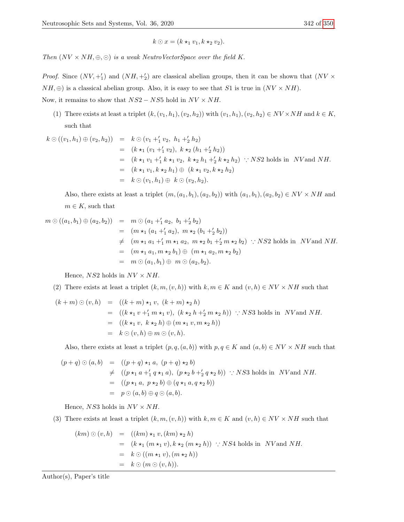$$
k \odot x = (k \star_1 v_1, k \star_2 v_2).
$$

Then  $(NV \times NH, \oplus, \odot)$  is a weak NeutroVectorSpace over the field K.

*Proof.* Since  $(NV, +'_1)$  and  $(NH, +'_2)$  are classical abelian groups, then it can be shown that  $(NV \times$  $NH, \oplus$ ) is a classical abelian group. Also, it is easy to see that S1 is true in  $(NV \times NH)$ . Now, it remains to show that  $NS2 - NS5$  hold in  $NV \times NH$ .

(1) There exists at least a triplet  $(k,(v_1,h_1),(v_2,h_2))$  with  $(v_1,h_1),(v_2,h_2) \in NV \times NH$  and  $k \in K$ , such that

$$
k \odot ((v_1, h_1) \oplus (v_2, h_2)) = k \odot (v_1 +'_1 v_2, h_1 +'_2 h_2)
$$
  
\n
$$
= (k \star_1 (v_1 +'_1 v_2), k \star_2 (h_1 +'_2 h_2))
$$
  
\n
$$
= (k \star_1 v_1 +'_1 k \star_1 v_2, k \star_2 h_1 +'_2 k \star_2 h_2) : NS2 \text{ holds in } NV \text{ and } NH.
$$
  
\n
$$
= (k \star_1 v_1, k \star_2 h_1) \oplus (k \star_1 v_2, k \star_2 h_2)
$$
  
\n
$$
= k \odot (v_1, h_1) \oplus k \odot (v_2, h_2).
$$

Also, there exists at least a triplet  $(m,(a_1,b_1),(a_2,b_2))$  with  $(a_1,b_1),(a_2,b_2) \in NV \times NH$  and  $m \in K$ , such that

$$
m \odot ((a_1, b_1) \oplus (a_2, b_2)) = m \odot (a_1 +'_1 a_2, b_1 +'_2 b_2)
$$
  
\n
$$
= (m \star_1 (a_1 +'_1 a_2), m \star_2 (b_1 +'_2 b_2))
$$
  
\n
$$
\neq (m \star_1 a_1 +'_1 m \star_1 a_2, m \star_2 b_1 +'_2 m \star_2 b_2) \therefore NS2 \text{ holds in } NV \text{ and } NH.
$$
  
\n
$$
= (m \star_1 a_1, m \star_2 b_1) \oplus (m \star_1 a_2, m \star_2 b_2)
$$
  
\n
$$
= m \odot (a_1, b_1) \oplus m \odot (a_2, b_2).
$$

Hence,  $NS2$  holds in  $NV \times NH$ .

# (2) There exists at least a triplet  $(k, m, (v, h))$  with  $k, m \in K$  and  $(v, h) \in NV \times NH$  such that

$$
(k+m) \odot (v,h) = ((k+m) \star_1 v, (k+m) \star_2 h)
$$
  
= ((k \star\_1 v +'\_1 m \star\_1 v), (k \star\_2 h +'\_2 m \star\_2 h)) :: NS3 holds in *NV* and *NH*.  
= ((k \star\_1 v, k \star\_2 h) \oplus (m \star\_1 v, m \star\_2 h))  
= k \odot (v,h) \oplus m \odot (v,h).

Also, there exists at least a triplet  $(p, q, (a, b))$  with  $p, q \in K$  and  $(a, b) \in NV \times NH$  such that

$$
(p+q) \odot (a,b) = ((p+q) \star_1 a, (p+q) \star_2 b)
$$
  
\n
$$
\neq ((p \star_1 a +'_1 q \star_1 a), (p \star_2 b +'_2 q \star_2 b)) :: NS3 \text{ holds in } NV \text{ and } NH.
$$
  
\n
$$
= ((p \star_1 a, p \star_2 b) \oplus (q \star_1 a, q \star_2 b))
$$
  
\n
$$
= p \odot (a,b) \oplus q \odot (a,b).
$$

Hence,  $NS3$  holds in  $NV \times NH$ .

(3) There exists at least a triplet  $(k, m, (v, h))$  with  $k, m \in K$  and  $(v, h) \in NV \times NH$  such that

$$
(km) \odot (v, h) = ((km) \star_1 v, (km) \star_2 h)
$$
  
=  $(k \star_1 (m \star_1 v), k \star_2 (m \star_2 h))$  : *NS4* holds in *NV* and *NH*.  
=  $k \odot ((m \star_1 v), (m \star_2 h))$   
=  $k \odot (m \odot (v, h)).$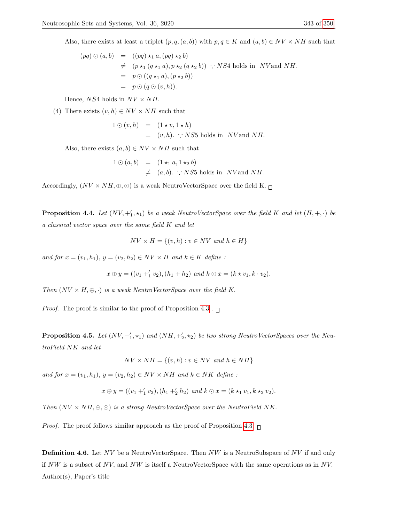Also, there exists at least a triplet  $(p, q, (a, b))$  with  $p, q \in K$  and  $(a, b) \in NV \times NH$  such that

$$
(pq) \odot (a, b) = ((pq) \star_1 a, (pq) \star_2 b)
$$
  
\n
$$
\neq (p \star_1 (q \star_1 a), p \star_2 (q \star_2 b)) \therefore NS4 \text{ holds in } NV \text{ and } NH.
$$
  
\n
$$
= p \odot ((q \star_1 a), (p \star_2 b))
$$
  
\n
$$
= p \odot (q \odot (v, h)).
$$

Hence,  $NS4$  holds in  $NV \times NH$ .

(4) There exists  $(v, h) \in NV \times NH$  such that

$$
1 \odot (v, h) = (1 * v, 1 * h)
$$
  
=  $(v, h)$ .  $\therefore$  NS5 holds in *NV* and *NH*.

Also, there exists  $(a, b) \in NV \times NH$  such that

$$
\begin{array}{rcl}\n1 \odot (a, b) & = & (1 \star_1 a, 1 \star_2 b) \\
& \neq & (a, b). \quad \therefore \, NS5 \text{ holds in } \, NV \text{ and } NH.\n\end{array}
$$

Accordingly,  $(NV \times NH, \oplus, \odot)$  is a weak NeutroVectorSpace over the field K.  $\Box$ 

**Proposition 4.4.** Let  $(NV, +_1', \star_1)$  be a weak NeutroVectorSpace over the field K and let  $(H, +, \cdot)$  be a classical vector space over the same field K and let

$$
NV \times H = \{(v, h) : v \in NV \text{ and } h \in H\}
$$

and for  $x = (v_1, h_1), y = (v_2, h_2) \in NV \times H$  and  $k \in K$  define:

$$
x \oplus y = ((v_1 +'_1 v_2), (h_1 + h_2) \text{ and } k \odot x = (k \star v_1, k \cdot v_2).
$$

Then  $(NV \times H, \oplus, \cdot)$  is a weak NeutroVectorSpace over the field K.

*Proof.* The proof is similar to the proof of Proposition [4.3](#page-13-0) .  $\Box$ 

**Proposition 4.5.** Let  $(NV, +'_1, \star_1)$  and  $(NH, +'_2, \star_2)$  be two strong NeutroVectorSpaces over the NeutroField NK and let

$$
NV \times NH = \{(v, h) : v \in NV \text{ and } h \in NH\}
$$

and for  $x = (v_1, h_1), y = (v_2, h_2) \in NV \times NH$  and  $k \in NK$  define:

$$
x \oplus y = ((v_1 +'_1 v_2), (h_1 +'_2 h_2) \text{ and } k \odot x = (k \star_1 v_1, k \star_2 v_2).
$$

Then  $(NV \times NH, \oplus, \odot)$  is a strong NeutroVectorSpace over the NeutroField NK.

*Proof.* The proof follows similar approach as the proof of Proposition [4.3.](#page-13-0)  $\Box$ 

Definition 4.6. Let NV be a NeutroVectorSpace. Then NW is a NeutroSubspace of NV if and only if  $NW$  is a subset of NV, and NW is itself a NeutroVectorSpace with the same operations as in NV.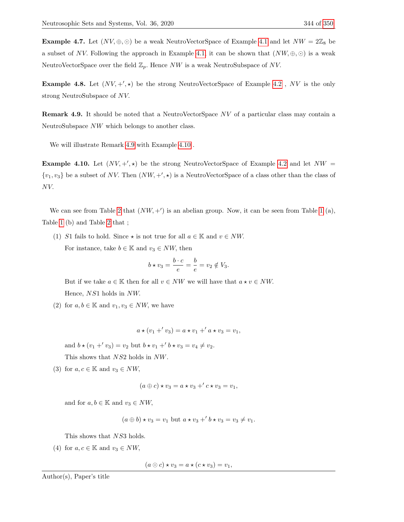**Example 4.7.** Let  $(NV, \oplus, \odot)$  be a weak NeutroVectorSpace of Example [4.1](#page-11-0) and let  $NW = 2\mathbb{Z}_8$  be a subset of NV. Following the approach in Example [4.1,](#page-11-0) it can be shown that  $(NW, \oplus, \odot)$  is a weak NeutroVectorSpace over the field  $\mathbb{Z}_p$ . Hence NW is a weak NeutroSubspace of NV.

**Example 4.8.** Let  $(NV, +', \star)$  be the strong NeutroVectorSpace of Example [4.2](#page-12-1), NV is the only strong NeutroSubspace of NV.

<span id="page-16-0"></span>Remark 4.9. It should be noted that a NeutroVectorSpace NV of a particular class may contain a NeutroSubspace NW which belongs to another class.

We will illustrate Remark [4.9](#page-16-0) with Example [4.10](#page-16-1) .

<span id="page-16-1"></span>**Example 4.10.** Let  $(NV, +', \star)$  be the strong NeutroVectorSpace of Example [4.2](#page-12-1) and let  $NW =$  $\{v_1, v_3\}$  be a subset of NV. Then  $(NW, +', \star)$  is a NeutroVectorSpace of a class other than the class of NV.

We can see from Table [2](#page-12-0) that  $(NW, +')$  is an abelian group. Now, it can be seen from Table [1](#page-9-1) (a), Table [1](#page-9-1) (b) and Table [2](#page-12-0) that ;

(1) S1 fails to hold. Since  $\star$  is not true for all  $a \in \mathbb{K}$  and  $v \in NW$ . For instance, take  $b \in \mathbb{K}$  and  $v_3 \in NW$ , then

$$
b \star v_3 = \frac{b \cdot c}{e} = \frac{b}{e} = v_2 \notin V_3.
$$

But if we take  $a \in \mathbb{K}$  then for all  $v \in NW$  we will have that  $a \star v \in NW$ . Hence, NS1 holds in NW.

(2) for  $a, b \in \mathbb{K}$  and  $v_1, v_3 \in NW$ , we have

$$
a \star (v_1 + v_3) = a \star v_1 + a \star v_3 = v_1,
$$

and  $b \star (v_1 + v_3) = v_2$  but  $b \star v_1 + b \star v_3 = v_4 \neq v_2$ .

This shows that NS2 holds in NW.

(3) for  $a, c \in \mathbb{K}$  and  $v_3 \in NW$ ,

$$
(a \oplus c) \star v_3 = a \star v_3 + c \star v_3 = v_1,
$$

and for  $a, b \in \mathbb{K}$  and  $v_3 \in NW$ ,

$$
(a \oplus b) \star v_3 = v_1
$$
 but  $a \star v_3 + b \star v_3 = v_3 \neq v_1$ .

This shows that NS3 holds.

(4) for  $a, c \in \mathbb{K}$  and  $v_3 \in NW$ ,

 $(a \odot c) \star v_3 = a \star (c \star v_3) = v_1,$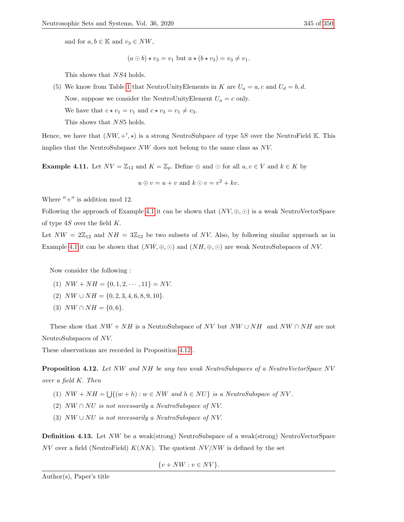$(a \odot b) \star v_3 = v_1$  but  $a \star (b \star v_3) = v_3 \neq v_1$ .

This shows that NS4 holds.

(5) We know from Table [1](#page-9-1) that NeutroUnityElements in K are  $U_a = a, c$  and  $U_d = b, d$ . Now, suppose we consider the NeutroUnityElement  $U_a = c$  only. We have that  $c \star v_1 = v_1$  and  $c \star v_3 = v_1 \neq v_3$ . This shows that NS5 holds.

Hence, we have that  $(NW, +', \star)$  is a strong NeutroSubpace of type 5S over the NeutroField K. This implies that the NeutroSubspace NW does not belong to the same class as NV.

**Example 4.11.** Let  $NV = \mathbb{Z}_{12}$  and  $K = \mathbb{Z}_p$ . Define  $\oplus$  and  $\odot$  for all  $u, v \in V$  and  $k \in K$  by

 $u \oplus v = u + v$  and  $k \odot v = v^2 + kv$ .

Where  $'' +''$  is addition mod 12.

Following the approach of Example [4.1](#page-11-0) it can be shown that  $(NV, \oplus, \odot)$  is a weak NeutroVectorSpace of type  $4S$  over the field  $K$ .

Let  $NW = 2\mathbb{Z}_{12}$  and  $NH = 3\mathbb{Z}_{12}$  be two subsets of NV. Also, by following similar approach as in Example [4.1](#page-11-0) it can be shown that  $(NW, \oplus, \odot)$  and  $(NH, \oplus, \odot)$  are weak NeutroSubspaces of NV.

Now consider the following :

- (1)  $NW + NH = \{0, 1, 2, \dots, 11\} = NV.$
- (2)  $NW \cup NH = \{0, 2, 3, 4, 6, 8, 9, 10\}.$
- (3)  $NW \cap NH = \{0, 6\}.$

These show that  $NW + NH$  is a NeutroSubspace of NV but  $NW \cup NH$  and  $NW \cap NH$  are not NeutroSubspaces of NV.

These observations are recorded in Proposition [4.12](#page-17-0) .

<span id="page-17-0"></span>Proposition 4.12. Let NW and NH be any two weak NeutroSubspaces of a NeutroVectorSpace NV over a field K. Then

- (1)  $NW + NH = \bigcup \{(w + h) : w \in NW \text{ and } h \in NU\}$  is a NeutroSubspace of NV.
- (2)  $NW \cap NU$  is not necessarily a NeutroSubspace of NV.
- (3)  $NW \cup NU$  is not necessarily a NeutroSubspace of NV.

Definition 4.13. Let NW be a weak(strong) NeutroSubspace of a weak(strong) NeutroVectorSpace NV over a field (NeutroField)  $K(NK)$ . The quotient  $NV/NW$  is defined by the set

 $\{v + NW : v \in NV\}.$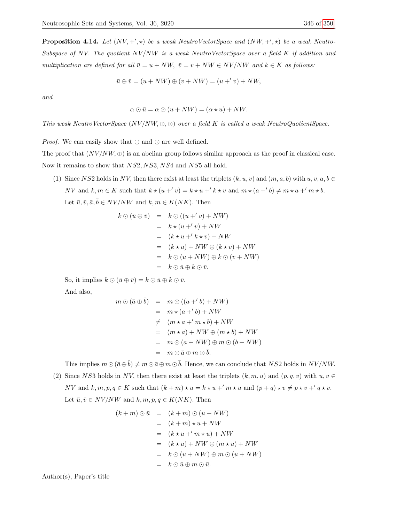$$
\bar{u} \oplus \bar{v} = (u + NW) \oplus (v + NW) = (u +' v) + NW,
$$

and

$$
\alpha \odot \bar{u} = \alpha \odot (u + NW) = (\alpha \star u) + NW.
$$

This weak NeutroVectorSpace  $(NV/NW, \oplus, \odot)$  over a field K is called a weak NeutroQuotientSpace.

*Proof.* We can easily show that  $\oplus$  and  $\odot$  are well defined.

The proof that  $(NV/NW, \oplus)$  is an abelian group follows similar approach as the proof in classical case. Now it remains to show that NS2, NS3, NS4 and NS5 all hold.

(1) Since NS2 holds in NV, then there exist at least the triplets  $(k, u, v)$  and  $(m, a, b)$  with  $u, v, a, b \in$ NV and  $k, m \in K$  such that  $k \star (u + v) = k \star u + k \star v$  and  $m \star (a + b) \neq m \star a + m \star b$ . Let  $\bar{u}, \bar{v}, \bar{a}, \bar{b} \in NV/NW$  and  $k, m \in K(NK)$ . Then

$$
k \odot (\bar{u} \oplus \bar{v}) = k \odot ((u +' v) + NW)
$$
  
=  $k \star (u +' v) + NW$   
=  $(k \star u +' k \star v) + NW$   
=  $(k \star u) + NW \oplus (k \star v) + NW$   
=  $k \odot (u + NW) \oplus k \odot (v + NW)$   
=  $k \odot \bar{u} \oplus k \odot \bar{v}.$ 

So, it implies  $k \odot (\bar{u} \oplus \bar{v}) = k \odot \bar{u} \oplus k \odot \bar{v}$ .

And also,

$$
m \odot (\bar{a} \oplus \bar{b}) = m \odot ((a + 'b) + NW)
$$
  
=  $m \star (a + 'b) + NW$   
 $\neq (m \star a + 'm \star b) + NW$   
=  $(m \star a) + NW \oplus (m \star b) + NW$   
=  $m \odot (a + NW) \oplus m \odot (b + NW)$   
=  $m \odot \bar{a} \oplus m \odot \bar{b}.$ 

This implies  $m \odot (\bar{a} \oplus \bar{b}) \neq m \odot \bar{a} \oplus m \odot \bar{b}$ . Hence, we can conclude that NS2 holds in NV/NW. (2) Since NS3 holds in NV, then there exist at least the triplets  $(k, m, u)$  and  $(p, q, v)$  with  $u, v \in$ NV and  $k, m, p, q \in K$  such that  $(k+m) \star u = k \star u + m \star u$  and  $(p+q) \star v \neq p \star v + q \star v$ .

Let  $\bar{u}, \bar{v} \in NV/NW$  and  $k, m, p, q \in K(NK)$ . Then

$$
(k+m) \odot \bar{u} = (k+m) \odot (u + NW)
$$
  
=  $(k+m) \star u + NW$   
=  $(k \star u + 'm \star u) + NW$   
=  $(k \star u) + NW \oplus (m \star u) + NW$   
=  $k \odot (u + NW) \oplus m \odot (u + NW)$   
=  $k \odot \bar{u} \oplus m \odot \bar{u}$ .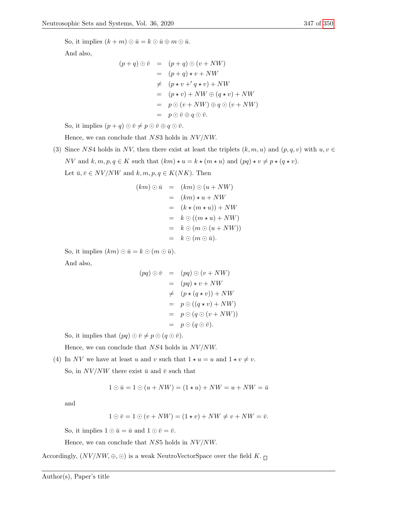So, it implies  $(k+m) \odot \bar{u} = k \odot \bar{u} \oplus m \odot \bar{u}$ .

And also,

$$
(p+q) \odot \bar{v} = (p+q) \odot (v + NW)
$$
  
=  $(p+q) \star v + NW$   
 $\neq (p \star v + 'q \star v) + NW$   
=  $(p \star v) + NW \oplus (q \star v) + NW$   
=  $p \odot (v + NW) \oplus q \odot (v + NW)$   
=  $p \odot \bar{v} \oplus q \odot \bar{v}.$ 

So, it implies  $(p+q) \odot \bar{v} \neq p \odot \bar{v} \oplus q \odot \bar{v}$ .

Hence, we can conclude that  $NS3$  holds in  $NV/NW$ .

(3) Since NS4 holds in NV, then there exist at least the triplets  $(k, m, u)$  and  $(p, q, v)$  with  $u, v \in$ NV and  $k, m, p, q \in K$  such that  $(km) \star u = k \star (m \star u)$  and  $(pq) \star v \neq p \star (q \star v)$ . Let  $\bar{u}, \bar{v} \in NV/NW$  and  $k, m, p, q \in K(NK)$ . Then

$$
(km) \odot \bar{u} = (km) \odot (u + NW)
$$
  
=  $(km) \star u + NW$   
=  $(k \star (m \star u)) + NW$   
=  $k \odot ((m \star u) + NW)$   
=  $k \odot (m \odot (u + NW))$   
=  $k \odot (m \odot \bar{u}).$ 

So, it implies  $(km) \odot \bar{u} = k \odot (m \odot \bar{u}).$ 

And also,

$$
(pq) \odot \bar{v} = (pq) \odot (v + NW)
$$
  
= 
$$
(pq) \star v + NW
$$
  

$$
\neq (p \star (q \star v)) + NW
$$
  
= 
$$
p \odot ((q \star v) + NW)
$$
  
= 
$$
p \odot (q \odot (v + NW))
$$
  
= 
$$
p \odot (q \odot \bar{v}).
$$

So, it implies that  $(pq) \odot \bar{v} \neq p \odot (q \odot \bar{v}).$ 

Hence, we can conclude that  $NS4$  holds in  $NV/NW$ .

(4) In NV we have at least u and v such that  $1 \star u = u$  and  $1 \star v \neq v$ . So, in  $NV/NW$  there exist  $\bar{u}$  and  $\bar{v}$  such that

$$
1 \odot \bar{u} = 1 \odot (u + NW) = (1 * u) + NW = u + NW = \bar{u}
$$

and

$$
1 \odot \overline{v} = 1 \odot (v + NW) = (1 \star v) + NW \neq v + NW = \overline{v}.
$$

So, it implies  $1 \odot \bar{u} = \bar{u}$  and  $1 \odot \bar{v} = \bar{v}$ .

Hence, we can conclude that  $NS5$  holds in  $NV/NW$ .

Accordingly,  $(NV/NW, \oplus, \odot)$  is a weak NeutroVectorSpace over the field  $K.$   $\Box$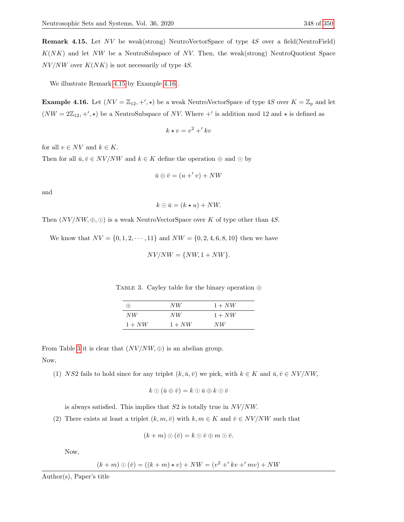<span id="page-20-0"></span>Remark 4.15. Let NV be weak(strong) NeutroVectorSpace of type 4S over a field(NeutroField)  $K(NK)$  and let NW be a NeutroSubspace of NV. Then, the weak(strong) NeutroQuotient Space  $NV/NW$  over  $K(NK)$  is not necessarily of type 4S.

We illustrate Remark [4.15](#page-20-0) by Example [4.16](#page-20-1) .

<span id="page-20-1"></span>**Example 4.16.** Let  $(NV = \mathbb{Z}_{12}, +', \star)$  be a weak NeutroVectorSpace of type 4S over  $K = \mathbb{Z}_p$  and let  $(NW = 2\mathbb{Z}_{12}, +', \star)$  be a NeutroSubspace of NV. Where  $+'$  is addition mod 12 and  $\star$  is defined as

$$
k \star v = v^2 + 'k v
$$

for all  $v \in NV$  and  $k \in K$ .

Then for all  $\bar{u}, \bar{v} \in NV/NW$  and  $k \in K$  define the operation  $\oplus$  and  $\odot$  by

$$
\bar{u} \oplus \bar{v} = (u +' v) + NW
$$

and

$$
k \odot \bar{u} = (k \star u) + NW.
$$

Then  $(NV/NW, \oplus, \odot)$  is a weak NeutroVectorSpace over K of type other than 4S.

<span id="page-20-2"></span>We know that  $NV = \{0, 1, 2, \dots, 11\}$  and  $NW = \{0, 2, 4, 6, 8, 10\}$  then we have

 $NV/NW = \{NW, 1 + NW\}.$ 

TABLE 3. Cayley table for the binary operation  $\oplus$ 

| $\leftrightarrow$ | N W      | $1 + NW$ |
|-------------------|----------|----------|
| NW                | N W      | $1 + NW$ |
| $1 + NW$          | $1 + NW$ | NW       |

From Table [3](#page-20-2) it is clear that  $(NV/NW, \oplus)$  is an abelian group. Now,

(1) NS2 fails to hold since for any triplet  $(k, \bar{u}, \bar{v})$  we pick, with  $k \in K$  and  $\bar{u}, \bar{v} \in NV/NW$ ,

$$
k \odot (\bar{u} \oplus \bar{v}) = k \odot \bar{u} \oplus k \odot \bar{v}
$$

is always satisfied. This implies that  $S2$  is totally true in  $NV/NW$ .

(2) There exists at least a triplet  $(k, m, \bar{v})$  with  $k, m \in K$  and  $\bar{v} \in NV/NW$  such that

$$
(k+m)\odot(\bar{v})=k\odot\bar{v}\oplus m\odot\bar{v}.
$$

Now,

$$
(k + m) \odot (\bar{v}) = ((k + m) \star v) + NW = (v^2 + 'kv + 'mv) + NW
$$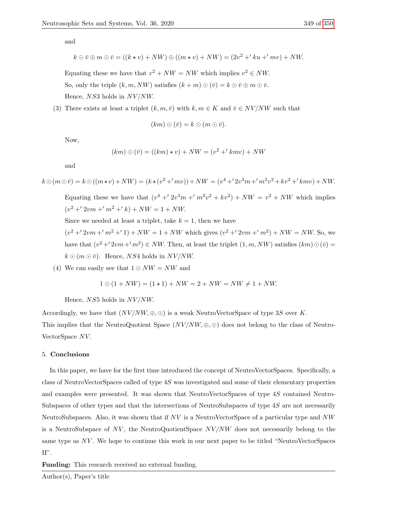and

$$
k \odot \overline{v} \oplus m \odot \overline{v} = ((k \star v) + NW) \oplus ((m \star v) + NW) = (2v^2 + 'ku + 'mv) + NW.
$$

Equating these we have that  $v^2 + NW = NW$  which implies  $v^2 \in NW$ . So, only the triple  $(k, m, NW)$  satisfies  $(k+m) \odot (\bar{v}) = k \odot \bar{v} \oplus m \odot \bar{v}$ . Hence,  $NS3$  holds in  $NV/NW$ .

(3) There exists at least a triplet  $(k, m, \bar{v})$  with  $k, m \in K$  and  $\bar{v} \in NV/NW$  such that

$$
(km) \odot (\bar{v}) = k \odot (m \odot \bar{v}).
$$

Now,

$$
(km) \odot (\bar{v}) = ((km) \star v) + NW = (v^2 + 'kmv) + NW
$$

and

$$
k \odot (m \odot \bar{v}) = k \odot ((m \star v) + NW) = (k \star (v^2 + 'mv)) + NW = (v^4 + '2v^3m + 'm^2v^2 + kv^2 + 'kmv) + NW.
$$

Equating these we have that  $(v^4 + 2v^3m + m^2v^2 + kv^2) + NW = v^2 + NW$  which implies  $(v^2 + 2vm + m^2 + k) + NW = 1 + NW.$ 

Since we needed at least a triplet, take  $k = 1$ , then we have

 $(v^2 + 2vm + m^2 + 1) + NW = 1 + NW$  which gives  $(v^2 + 2vm + m^2) + NW = NW$ . So, we have that  $(v^2 + 2vm + m^2) \in NW$ . Then, at least the triplet  $(1, m, NW)$  satisfies  $(km) \odot (\bar{v}) =$  $k \odot (m \odot \bar{v})$ . Hence, NS4 holds in NV/NW.

(4) We can easily see that  $1 \odot NW = NW$  and

$$
1 \odot (1 + NW) = (1 \star 1) + NW = 2 + NW = NW \neq 1 + NW.
$$

Hence, NS5 holds in  $NV/NW$ .

Accordingly, we have that  $(NV/NW, \oplus, \odot)$  is a weak NeutroVectorSpace of type 3S over K.

This implies that the NeutroQuotient Space  $(NV/NW, \oplus, \odot)$  does not belong to the class of Neutro-VectorSpace NV.

# 5. Conclusions

In this paper, we have for the first time introduced the concept of NeutroVectorSpaces. Specifically, a class of NeutroVectorSpaces called of type 4S was investigated and some of their elementary properties and examples were presented. It was shown that NeutroVectorSpaces of type 4S contained Neutro-Subspaces of other types and that the intersections of NeutroSubspaces of type 4S are not necessarily NeutroSubspaces. Also, it was shown that if  $NV$  is a NeutroVectorSpace of a particular type and  $NW$ is a NeutroSubspace of  $NV$ , the NeutroQuotientSpace  $NV/NW$  does not necessarily belong to the same type as  $NV$ . We hope to continue this work in our next paper to be titled "NeutroVectorSpaces"  $\Pi$  .

Funding: This research received no external funding.